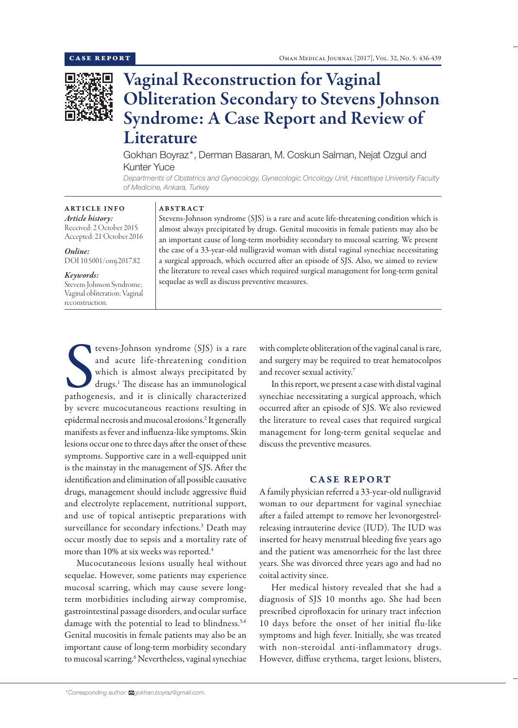

# Vaginal Reconstruction for Vaginal Obliteration Secondary to Stevens Johnson Syndrome: A Case Report and Review of Literature

Gokhan Boyraz\*, Derman Basaran, M. Coskun Salman, Nejat Ozgul and Kunter Yuce

*Departments of Obstetrics and Gynecology, Gynecologic Oncology Unit, Hacettepe University Faculty of Medicine, Ankara, Turkey*

## ARTICLE INFO *Article history:*

Received: 2 October 2015 Accepted: 21 October 2016

*Online:*

DOI 10.5001/omj.2017.82

## *Keywords:*

Stevens Johnson Syndrome; Vaginal obliteration; Vaginal reconstruction.

## ABSTRACT

Stevens-Johnson syndrome (SJS) is a rare and acute life-threatening condition which is almost always precipitated by drugs. Genital mucositis in female patients may also be an important cause of long-term morbidity secondary to mucosal scarring. We present the case of a 33-year-old nulligravid woman with distal vaginal synechiae necessitating a surgical approach, which occurred after an episode of SJS. Also, we aimed to review the literature to reveal cases which required surgical management for long-term genital sequelae as well as discuss preventive measures.

tevens-Johnson syndrome (SJS) is a rare<br>and acute life-threatening condition<br>which is almost always precipitated by<br>drugs.<sup>1</sup> The disease has an immunological<br>pathogenesis, and it is clinically characterized tevens-Johnson syndrome (SJS) is a rare and acute life-threatening condition which is almost always precipitated by drugs.1 The disease has an immunological by severe mucocutaneous reactions resulting in epidermal necrosis and mucosal erosions.2 It generally manifests as fever and influenza-like symptoms. Skin lesions occur one to three days after the onset of these symptoms. Supportive care in a well-equipped unit is the mainstay in the management of SJS. After the identification and elimination of all possible causative drugs, management should include aggressive fluid and electrolyte replacement, nutritional support, and use of topical antiseptic preparations with surveillance for secondary infections.<sup>3</sup> Death may occur mostly due to sepsis and a mortality rate of more than 10% at six weeks was reported.4

Mucocutaneous lesions usually heal without sequelae. However, some patients may experience mucosal scarring, which may cause severe longterm morbidities including airway compromise, gastrointestinal passage disorders, and ocular surface damage with the potential to lead to blindness.<sup>5,6</sup> Genital mucositis in female patients may also be an important cause of long-term morbidity secondary to mucosal scarring.<sup>6</sup> Nevertheless, vaginal synechiae

In this report, we present a case with distal vaginal synechiae necessitating a surgical approach, which occurred after an episode of SJS. We also reviewed the literature to reveal cases that required surgical

discuss the preventive measures.

and recover sexual activity.7

# CASE REPORT

management for long-term genital sequelae and

with complete obliteration of the vaginal canal is rare, and surgery may be required to treat hematocolpos

A family physician referred a 33-year-old nulligravid woman to our department for vaginal synechiae after a failed attempt to remove her levonorgestrelreleasing intrauterine device (IUD). The IUD was inserted for heavy menstrual bleeding five years ago and the patient was amenorrheic for the last three years. She was divorced three years ago and had no coital activity since.

Her medical history revealed that she had a diagnosis of SJS 10 months ago. She had been prescribed ciprofloxacin for urinary tract infection 10 days before the onset of her initial flu-like symptoms and high fever. Initially, she was treated with non-steroidal anti-inflammatory drugs. However, diffuse erythema, target lesions, blisters,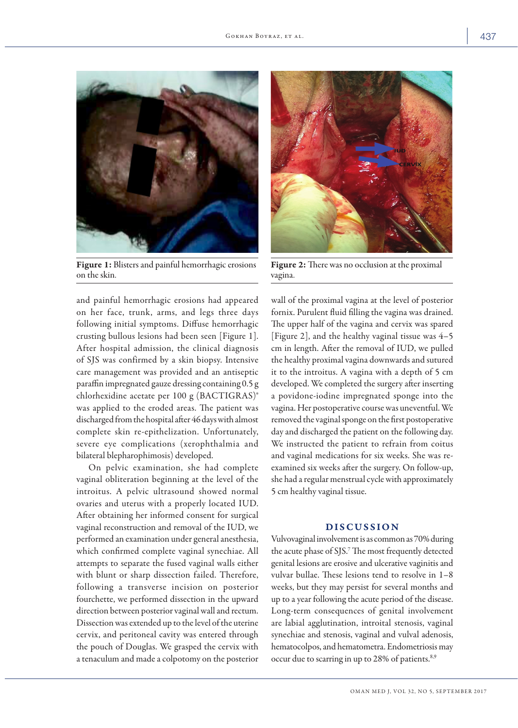

Figure 1: Blisters and painful hemorrhagic erosions on the skin.

and painful hemorrhagic erosions had appeared on her face, trunk, arms, and legs three days following initial symptoms. Diffuse hemorrhagic crusting bullous lesions had been seen [Figure 1]. After hospital admission, the clinical diagnosis of SJS was confirmed by a skin biopsy. Intensive care management was provided and an antiseptic paraffin impregnated gauze dressing containing 0.5 g chlorhexidine acetate per 100 g (BACTIGRAS)® was applied to the eroded areas. The patient was discharged from the hospital after 46 days with almost complete skin re-epithelization. Unfortunately, severe eye complications (xerophthalmia and bilateral blepharophimosis) developed.

On pelvic examination, she had complete vaginal obliteration beginning at the level of the introitus. A pelvic ultrasound showed normal ovaries and uterus with a properly located IUD. After obtaining her informed consent for surgical vaginal reconstruction and removal of the IUD, we performed an examination under general anesthesia, which confirmed complete vaginal synechiae. All attempts to separate the fused vaginal walls either with blunt or sharp dissection failed. Therefore, following a transverse incision on posterior fourchette, we performed dissection in the upward direction between posterior vaginal wall and rectum. Dissection was extended up to the level of the uterine cervix, and peritoneal cavity was entered through the pouch of Douglas. We grasped the cervix with a tenaculum and made a colpotomy on the posterior



Figure 2: There was no occlusion at the proximal vagina.

wall of the proximal vagina at the level of posterior fornix. Purulent fluid filling the vagina was drained. The upper half of the vagina and cervix was spared [Figure 2], and the healthy vaginal tissue was 4–5 cm in length. After the removal of IUD, we pulled the healthy proximal vagina downwards and sutured it to the introitus. A vagina with a depth of 5 cm developed. We completed the surgery after inserting a povidone-iodine impregnated sponge into the vagina. Her postoperative course was uneventful. We removed the vaginal sponge on the first postoperative day and discharged the patient on the following day. We instructed the patient to refrain from coitus and vaginal medications for six weeks. She was reexamined six weeks after the surgery. On follow-up, she had a regular menstrual cycle with approximately 5 cm healthy vaginal tissue.

## DISCUSSION

Vulvovaginal involvement is as common as 70% during the acute phase of SJS.7 The most frequently detected genital lesions are erosive and ulcerative vaginitis and vulvar bullae. These lesions tend to resolve in 1–8 weeks, but they may persist for several months and up to a year following the acute period of the disease. Long-term consequences of genital involvement are labial agglutination, introital stenosis, vaginal synechiae and stenosis, vaginal and vulval adenosis, hematocolpos, and hematometra. Endometriosis may occur due to scarring in up to 28% of patients.<sup>8,9</sup>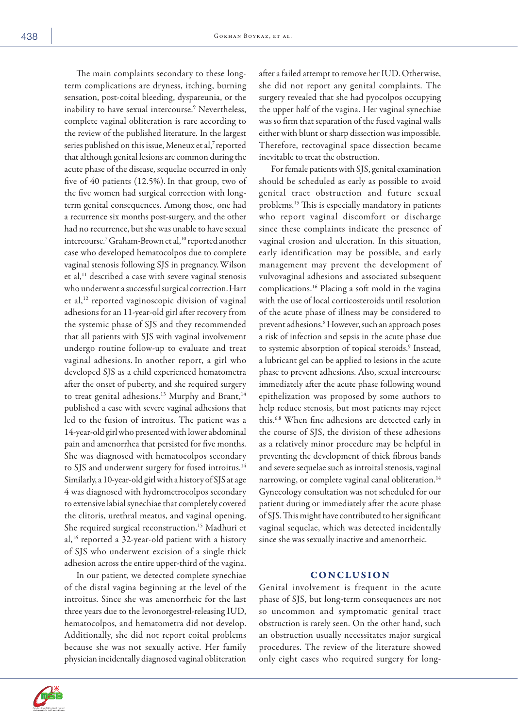The main complaints secondary to these longterm complications are dryness, itching, burning sensation, post-coital bleeding, dyspareunia, or the inability to have sexual intercourse.<sup>9</sup> Nevertheless, complete vaginal obliteration is rare according to the review of the published literature. In the largest series published on this issue, Meneux et al,7 reported that although genital lesions are common during the acute phase of the disease, sequelae occurred in only five of 40 patients (12.5%). In that group, two of the five women had surgical correction with longterm genital consequences. Among those, one had a recurrence six months post-surgery, and the other had no recurrence, but she was unable to have sexual intercourse.<sup>7</sup> Graham-Brown et al,<sup>10</sup> reported another case who developed hematocolpos due to complete vaginal stenosis following SJS in pregnancy.Wilson et al,<sup>11</sup> described a case with severe vaginal stenosis who underwent a successful surgical correction.Hart et al,12 reported vaginoscopic division of vaginal adhesions for an 11-year-old girl after recovery from the systemic phase of SJS and they recommended that all patients with SJS with vaginal involvement undergo routine follow-up to evaluate and treat vaginal adhesions. In another report, a girl who developed SJS as a child experienced hematometra after the onset of puberty, and she required surgery to treat genital adhesions.<sup>13</sup> Murphy and Brant,<sup>14</sup> published a case with severe vaginal adhesions that led to the fusion of introitus. The patient was a 14-year-old girl who presented with lower abdominal pain and amenorrhea that persisted for five months. She was diagnosed with hematocolpos secondary to SJS and underwent surgery for fused introitus.<sup>14</sup> Similarly, a 10-year-old girl with a history of SJS at age 4 was diagnosed with hydrometrocolpos secondary to extensive labial synechiae that completely covered the clitoris, urethral meatus, and vaginal opening. She required surgical reconstruction.<sup>15</sup> Madhuri et al,16 reported a 32-year-old patient with a history of SJS who underwent excision of a single thick adhesion across the entire upper-third of the vagina.

In our patient, we detected complete synechiae of the distal vagina beginning at the level of the introitus. Since she was amenorrheic for the last three years due to the levonorgestrel-releasing IUD, hematocolpos, and hematometra did not develop. Additionally, she did not report coital problems because she was not sexually active. Her family physician incidentally diagnosed vaginal obliteration after a failed attempt to remove her IUD. Otherwise, she did not report any genital complaints. The surgery revealed that she had pyocolpos occupying the upper half of the vagina. Her vaginal synechiae was so firm that separation of the fused vaginal walls either with blunt or sharp dissection was impossible. Therefore, rectovaginal space dissection became inevitable to treat the obstruction.

For female patients with SJS, genital examination should be scheduled as early as possible to avoid genital tract obstruction and future sexual problems.15 This is especially mandatory in patients who report vaginal discomfort or discharge since these complaints indicate the presence of vaginal erosion and ulceration. In this situation, early identification may be possible, and early management may prevent the development of vulvovaginal adhesions and associated subsequent complications.16 Placing a soft mold in the vagina with the use of local corticosteroids until resolution of the acute phase of illness may be considered to prevent adhesions.<sup>8</sup> However, such an approach poses a risk of infection and sepsis in the acute phase due to systemic absorption of topical steroids.<sup>9</sup> Instead, a lubricant gel can be applied to lesions in the acute phase to prevent adhesions. Also, sexual intercourse immediately after the acute phase following wound epithelization was proposed by some authors to help reduce stenosis, but most patients may reject this.6,8 When fine adhesions are detected early in the course of SJS, the division of these adhesions as a relatively minor procedure may be helpful in preventing the development of thick fibrous bands and severe sequelae such as introital stenosis, vaginal narrowing, or complete vaginal canal obliteration.<sup>14</sup> Gynecology consultation was not scheduled for our patient during or immediately after the acute phase of SJS. This might have contributed to her significant vaginal sequelae, which was detected incidentally since she was sexually inactive and amenorrheic.

## **CONCLUSION**

Genital involvement is frequent in the acute phase of SJS, but long-term consequences are not so uncommon and symptomatic genital tract obstruction is rarely seen. On the other hand, such an obstruction usually necessitates major surgical procedures. The review of the literature showed only eight cases who required surgery for long